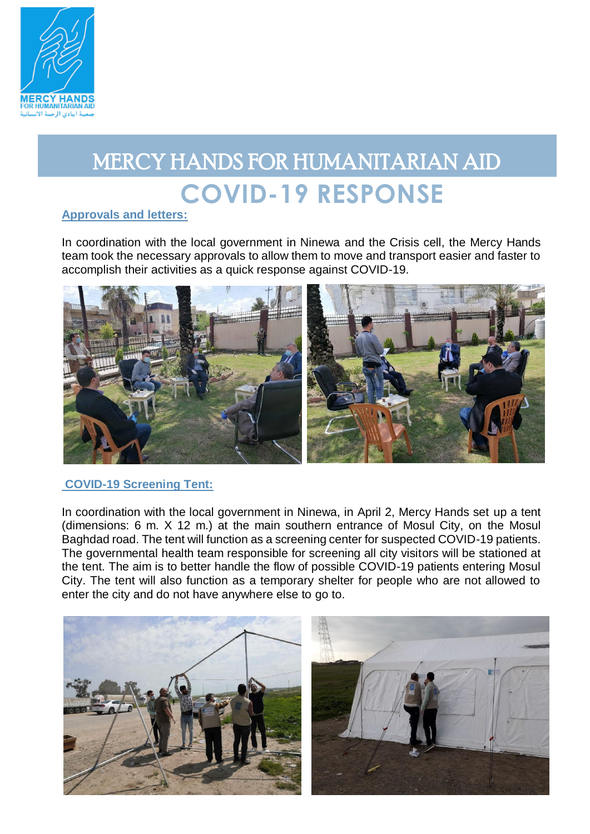

# MERCY HANDS FOR HUMANITARIAN AID **COVID-19 RESPONSE**

## **Approvals and letters:**

In coordination with the local government in Ninewa and the Crisis cell, the Mercy Hands team took the necessary approvals to allow them to move and transport easier and faster to accomplish their activities as a quick response against COVID-19.



## **COVID-19 Screening Tent:**

In coordination with the local government in Ninewa, in April 2, Mercy Hands set up a tent (dimensions: 6 m. X 12 m.) at the main southern entrance of Mosul City, on the Mosul Baghdad road. The tent will function as a screening center for suspected COVID-19 patients. The governmental health team responsible for screening all city visitors will be stationed at the tent. The aim is to better handle the flow of possible COVID-19 patients entering Mosul City. The tent will also function as a temporary shelter for people who are not allowed to enter the city and do not have anywhere else to go to.

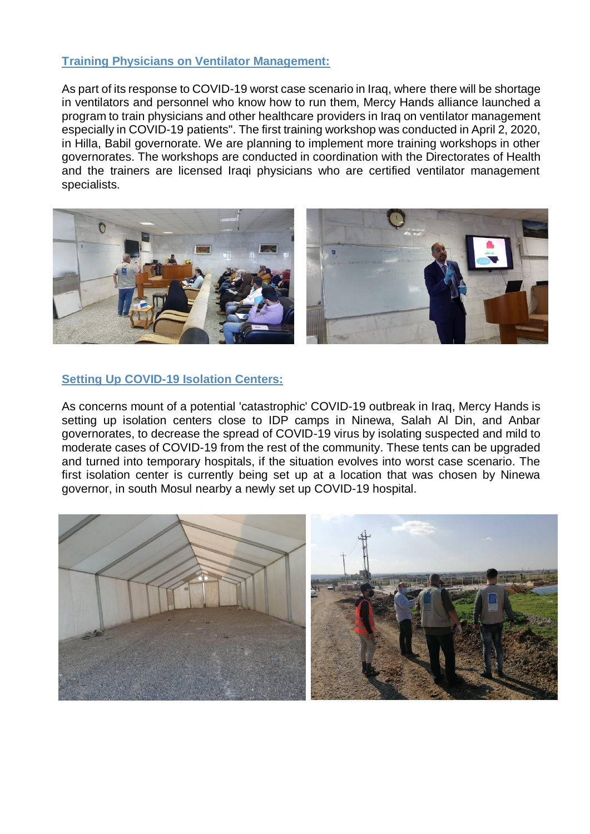### **Training Physicians on Ventilator Management:**

As part of its response to COVID-19 worst case scenario in Iraq, where there will be shortage in ventilators and personnel who know how to run them, Mercy Hands alliance launched a program to train physicians and other healthcare providers in Iraq on ventilator management especially in COVID-19 patients". The first training workshop was conducted in April 2, 2020, in Hilla, Babil governorate. We are planning to implement more training workshops in other governorates. The workshops are conducted in coordination with the Directorates of Health and the trainers are licensed Iraqi physicians who are certified ventilator management specialists.



### **Setting Up COVID-19 Isolation Centers:**

As concerns mount of a potential 'catastrophic' COVID-19 outbreak in Iraq, Mercy Hands is setting up isolation centers close to IDP camps in Ninewa, Salah Al Din, and Anbar governorates, to decrease the spread of COVID-19 virus by isolating suspected and mild to moderate cases of COVID-19 from the rest of the community. These tents can be upgraded and turned into temporary hospitals, if the situation evolves into worst case scenario. The first isolation center is currently being set up at a location that was chosen by Ninewa governor, in south Mosul nearby a newly set up COVID-19 hospital.